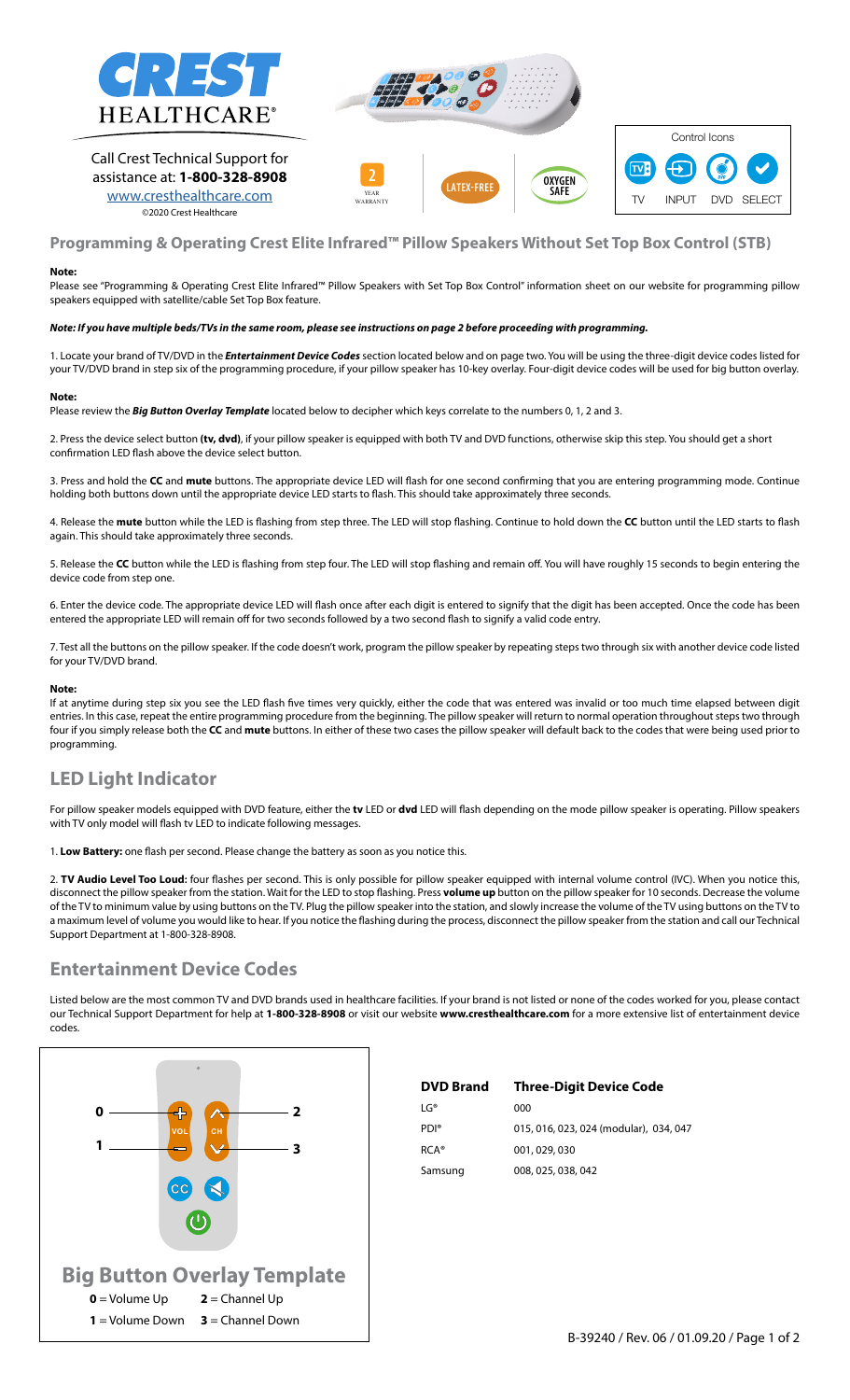

Call Crest Technical Support for assistance at: **1-800-328-8908** [www.cresthealthcare.com](http://www.cresthealthcare.com ) ©2020 Crest Healthcare





## **Programming & Operating Crest Elite Infrared™ Pillow Speakers Without Set Top Box Control (STB)**

### **Note:**

Please see "Programming & Operating Crest Elite Infrared™ Pillow Speakers with Set Top Box Control" information sheet on our website for programming pillow speakers equipped with satellite/cable Set Top Box feature.

### *Note: If you have multiple beds/TVs in the same room, please see instructions on page 2 before proceeding with programming.*

1. Locate your brand of TV/DVD in the *Entertainment Device Codes* section located below and on page two. You will be using the three-digit device codes listed for your TV/DVD brand in step six of the programming procedure, if your pillow speaker has 10-key overlay. Four-digit device codes will be used for big button overlay.

#### **Note:**

Please review the *Big Button Overlay Template* located below to decipher which keys correlate to the numbers 0, 1, 2 and 3.

2. Press the device select button **(tv, dvd)**, if your pillow speaker is equipped with both TV and DVD functions, otherwise skip this step. You should get a short confirmation LED flash above the device select button.

3. Press and hold the **CC** and **mute** buttons. The appropriate device LED will flash for one second confirming that you are entering programming mode. Continue holding both buttons down until the appropriate device LED starts to flash. This should take approximately three seconds.

4. Release the **mute** button while the LED is flashing from step three. The LED will stop flashing. Continue to hold down the **CC** button until the LED starts to flash again. This should take approximately three seconds.

5. Release the **CC** button while the LED is flashing from step four. The LED will stop flashing and remain off. You will have roughly 15 seconds to begin entering the device code from step one.

6. Enter the device code. The appropriate device LED will flash once after each digit is entered to signify that the digit has been accepted. Once the code has been entered the appropriate LED will remain off for two seconds followed by a two second flash to signify a valid code entry.

7. Test all the buttons on the pillow speaker. If the code doesn't work, program the pillow speaker by repeating steps two through six with another device code listed for your TV/DVD brand.

#### **Note:**

If at anytime during step six you see the LED flash five times very quickly, either the code that was entered was invalid or too much time elapsed between digit entries. In this case, repeat the entire programming procedure from the beginning. The pillow speaker will return to normal operation throughout steps two through four if you simply release both the **CC** and **mute** buttons. In either of these two cases the pillow speaker will default back to the codes that were being used prior to programming.

# **LED Light Indicator**

For pillow speaker models equipped with DVD feature, either the **tv** LED or **dvd** LED will flash depending on the mode pillow speaker is operating. Pillow speakers with TV only model will flash tv LED to indicate following messages.

1. **Low Battery:** one flash per second. Please change the battery as soon as you notice this.

2. **TV Audio Level Too Loud:** four flashes per second. This is only possible for pillow speaker equipped with internal volume control (IVC). When you notice this, disconnect the pillow speaker from the station. Wait for the LED to stop flashing. Press **volume up** button on the pillow speaker for 10 seconds. Decrease the volume of the TV to minimum value by using buttons on the TV. Plug the pillow speaker into the station, and slowly increase the volume of the TV using buttons on the TV to a maximum level of volume you would like to hear. If you notice the flashing during the process, disconnect the pillow speaker from the station and call our Technical Support Department at 1-800-328-8908.

# **Entertainment Device Codes**

Listed below are the most common TV and DVD brands used in healthcare facilities. If your brand is not listed or none of the codes worked for you, please contact our Technical Support Department for help at **1-800-328-8908** or visit our website **www.cresthealthcare.com** for a more extensive list of entertainment device codes.



| <b>DVD Brand</b> | <b>Three-Digit Device Code</b>         |
|------------------|----------------------------------------|
| $IG^{\circ}$     | റററ                                    |
| PDI®             | 015, 016, 023, 024 (modular), 034, 047 |
| $RCA^*$          | 001, 029, 030                          |
| Samsung          | 008, 025, 038, 042                     |